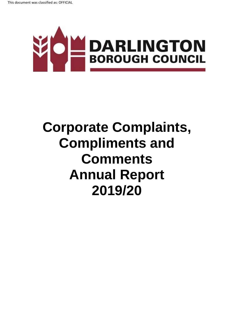

# **Corporate Complaints, Compliments and Comments Annual Report 2019/20**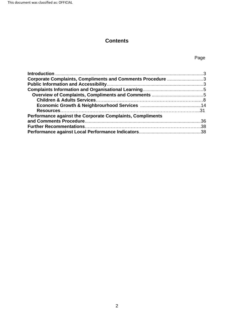This document was classified as: OFFICIAL

# **Contents**

# Page

| Corporate Complaints, Compliments and Comments Procedure 3 |  |
|------------------------------------------------------------|--|
|                                                            |  |
|                                                            |  |
|                                                            |  |
|                                                            |  |
|                                                            |  |
|                                                            |  |
| Performance against the Corporate Complaints, Compliments  |  |
|                                                            |  |
|                                                            |  |
|                                                            |  |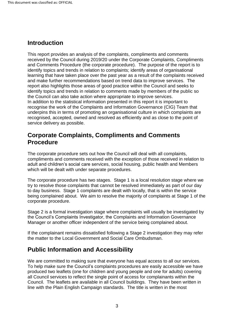# <span id="page-2-0"></span>**Introduction**

 and Comments Procedure (the corporate procedure). The purpose of the report is to and make further recommendations based on trend data to improve services. The This report provides an analysis of the complaints, compliments and comments received by the Council during 2019/20 under the Corporate Complaints, Compliments identify topics and trends in relation to complaints; identify areas of organisational learning that have taken place over the past year as a result of the complaints received report also highlights those areas of good practice within the Council and seeks to identify topics and trends in relation to comments made by members of the public so the Council can also take action where appropriate to improve services. In addition to the statistical information presented in this report it is important to recognise the work of the Complaints and Information Governance (CIG) Team that underpins this in terms of promoting an organisational culture in which complaints are recognised, accepted, owned and resolved as efficiently and as close to the point of service delivery as possible.

# <span id="page-2-1"></span>**Corporate Complaints, Compliments and Comments Procedure**

The corporate procedure sets out how the Council will deal with all complaints, compliments and comments received with the exception of those received in relation to adult and children's social care services, social housing, public health and Members which will be dealt with under separate procedures.

The corporate procedure has two stages. Stage 1 is a local resolution stage where we try to resolve those complaints that cannot be resolved immediately as part of our day to day business. Stage 1 complaints are dealt with locally, that is within the service being complained about. We aim to resolve the majority of complaints at Stage 1 of the corporate procedure.

 Manager or another officer independent of the service being complained about. Stage 2 is a formal investigation stage where complaints will usually be investigated by the Council's Complaints Investigator, the Complaints and Information Governance

If the complainant remains dissatisfied following a Stage 2 investigation they may refer the matter to the Local Government and Social Care Ombudsman.

# <span id="page-2-2"></span>**Public Information and Accessibility**

We are committed to making sure that everyone has equal access to all our services. To help make sure the Council's complaints procedures are easily accessible we have produced two leaflets (one for children and young people and one for adults) covering all Council services to reflect the single point of access for complainants within the Council. The leaflets are available in all Council buildings. They have been written in line with the Plain English Campaign standards. The title is written in the most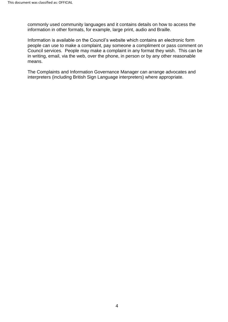information in other formats, for example, large print, audio and Braille. commonly used community languages and it contains details on how to access the

 Council services. People may make a complaint in any format they wish. This can be Information is available on the Council's website which contains an electronic form people can use to make a complaint, pay someone a compliment or pass comment on in writing, email, via the web, over the phone, in person or by any other reasonable means.

 interpreters (including British Sign Language interpreters) where appropriate. The Complaints and Information Governance Manager can arrange advocates and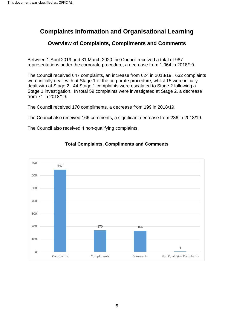# <span id="page-4-0"></span>**Complaints Information and Organisational Learning**

# **Overview of Complaints, Compliments and Comments**

<span id="page-4-1"></span> Between 1 April 2019 and 31 March 2020 the Council received a total of 987 representations under the corporate procedure, a decrease from 1,064 in 2018/19.

 The Council received 647 complaints, an increase from 624 in 2018/19. 632 complaints were initially dealt with at Stage 1 of the corporate procedure, whilst 15 were initially dealt with at Stage 2. 44 Stage 1 complaints were escalated to Stage 2 following a Stage 1 investigation. In total 59 complaints were investigated at Stage 2, a decrease from 71 in 2018/19.

The Council received 170 compliments, a decrease from 199 in 2018/19.

The Council also received 166 comments, a significant decrease from 236 in 2018/19.

The Council also received 4 non-qualifying complaints.



#### **Total Complaints, Compliments and Comments**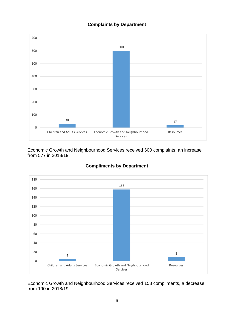#### **Complaints by Department**



Economic Growth and Neighbourhood Services received 600 complaints, an increase from 577 in 2018/19.





Economic Growth and Neighbourhood Services received 158 compliments, a decrease from 190 in 2018/19.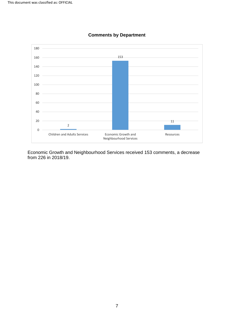

#### **Comments by Department**

Economic Growth and Neighbourhood Services received 153 comments, a decrease from 226 in 2018/19.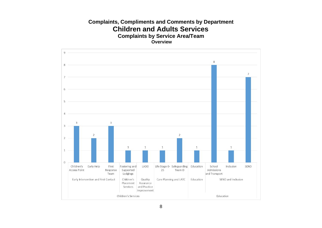## **Complaints, Compliments and Comments by Department Children and Adults Services Complaints by Service Area/Team Overview**

<span id="page-7-0"></span>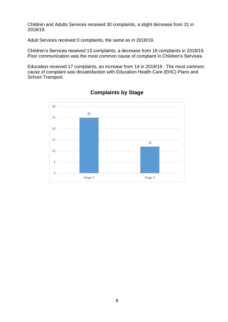Children and Adults Services received 30 complaints, a slight decrease from 31 in 2018/19.

Adult Services received 0 complaints, the same as in 2018/19.

Children's Services received 13 complaints, a decrease from 18 complaints in 2018/19. Children's Services received 13 complaints, a decrease from 18 complaints in 2018/19.<br>Poor communication was the most common cause of complaint in Children's Services.

 Education received 17 complaints, an increase from 14 in 2018/19. The most common cause of complaint was dissatisfaction with Education Health Care (EHC) Plans and School Transport.



**Complaints by Stage**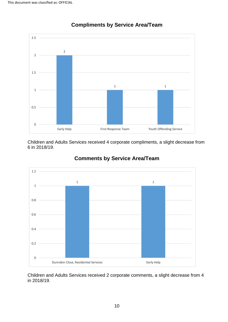

**Compliments by Service Area/Team** 

Children and Adults Services received 4 corporate compliments, a slight decrease from 6 in 2018/19.



# **Comments by Service Area/Team**

Children and Adults Services received 2 corporate comments, a slight decrease from 4 in 2018/19.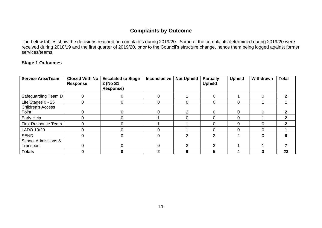#### **Complaints by Outcome**

 received during 2018/19 and the first quarter of 2019/20, prior to the Council's structure change, hence them being logged against former services/teams. The below tables show the decisions reached on complaints during 2019/20. Some of the complaints determined during 2019/20 were

#### **Stage 1 Outcomes**

| <b>Service Area/Team</b>          | Closed With No<br><b>Response</b> | <b>Escalated to Stage</b><br>2 (No S1<br><b>Response)</b> | <b>Inconclusive</b> | <b>Not Upheld</b> | <b>Partially</b><br><b>Upheld</b> | <b>Upheld</b> | Withdrawn | <b>Total</b> |
|-----------------------------------|-----------------------------------|-----------------------------------------------------------|---------------------|-------------------|-----------------------------------|---------------|-----------|--------------|
| Safeguarding Team D               |                                   | 0                                                         |                     |                   | $\Omega$                          |               | 0         |              |
| Life Stages 0 - 25                |                                   | 0                                                         | 0                   |                   | 0                                 |               |           |              |
| <b>Children's Access</b><br>Point |                                   | 0                                                         |                     |                   | 0                                 |               | 0         |              |
| Early Help                        |                                   | U                                                         |                     |                   | ∩                                 | ∩             |           |              |
| First Response Team               |                                   | 0                                                         |                     |                   |                                   |               | 0         |              |
| LADO 19/20                        |                                   |                                                           |                     |                   |                                   |               |           |              |
| <b>SEND</b>                       |                                   | 0                                                         |                     |                   | っ                                 | ົ             | 0         | n            |
| <b>School Admissions &amp;</b>    |                                   |                                                           |                     |                   |                                   |               |           |              |
| Transport                         |                                   | 0                                                         |                     |                   | 3                                 |               |           |              |
| <b>Totals</b>                     |                                   |                                                           |                     |                   |                                   |               |           | 23           |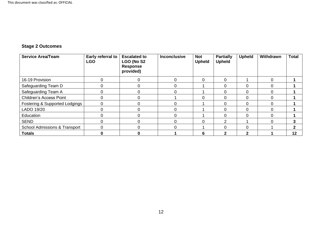# **Stage 2 Outcomes**

| <b>Service Area/Team</b>                 | Early referral to<br><b>LGO</b> | <b>Escalated to</b><br>LGO (No S2<br><b>Response</b><br>provided) | <b>Inconclusive</b> | <b>Not</b><br><b>Upheld</b> | <b>Partially</b><br><b>Upheld</b> | <b>Upheld</b> | Withdrawn | <b>Total</b> |
|------------------------------------------|---------------------------------|-------------------------------------------------------------------|---------------------|-----------------------------|-----------------------------------|---------------|-----------|--------------|
| 16-19 Provision                          | $\Omega$                        | $\Omega$                                                          |                     | 0                           | $\Omega$                          |               | $\Omega$  |              |
| Safeguarding Team D                      | 0                               |                                                                   |                     |                             | $\Omega$                          | 0             |           |              |
| Safeguarding Team A                      | $\Omega$                        |                                                                   |                     |                             | $\Omega$                          | 0             | 0         |              |
| <b>Children's Access Point</b>           | $\Omega$                        |                                                                   |                     | 0                           | $\Omega$                          | 0             | 0         |              |
| Fostering & Supported Lodgings           | 0                               |                                                                   |                     |                             | $\Omega$                          | 0             | 0         |              |
| LADO 19/20                               | $\Omega$                        |                                                                   |                     |                             | $\Omega$                          | 0             |           |              |
| Education                                | $\Omega$                        |                                                                   |                     |                             | $\Omega$                          | 0             | ∩         |              |
| <b>SEND</b>                              | $\Omega$                        |                                                                   |                     | 0                           | າ                                 |               |           | 3            |
| <b>School Admissions &amp; Transport</b> | $\Omega$                        |                                                                   |                     |                             | $\Omega$                          | 0             |           | $\mathbf{2}$ |
| <b>Totals</b>                            | 0                               | n                                                                 |                     | 6                           | 2                                 | 2             |           | 12           |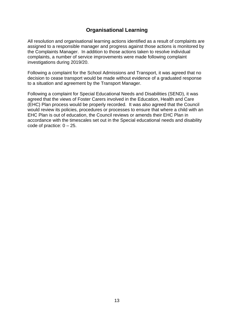# **Organisational Learning**

 complaints, a number of service improvements were made following complaint All resolution and organisational learning actions identified as a result of complaints are assigned to a responsible manager and progress against those actions is monitored by the Complaints Manager. In addition to those actions taken to resolve individual investigations during 2019/20.

 decision to cease transport would be made without evidence of a graduated response to a situation and agreement by the Transport Manager. Following a complaint for the School Admissions and Transport, it was agreed that no

 agreed that the views of Foster Carers involved in the Education, Health and Care (EHC) Plan process would be properly recorded. It was also agreed that the Council would review its policies, procedures or processes to ensure that where a child with an code of practice:  $0 - 25$ . Following a complaint for Special Educational Needs and Disabilities (SEND), it was EHC Plan is out of education, the Council reviews or amends their EHC Plan in accordance with the timescales set out in the Special educational needs and disability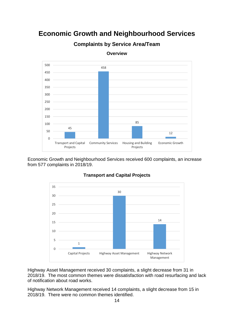# **Economic Growth and Neighbourhood Services**



**Complaints by Service Area/Team** 

Economic Growth and Neighbourhood Services received 600 complaints, an increase from 577 complaints in 2018/19.



#### **Transport and Capital Projects**

 2018/19. The most common themes were dissatisfaction with road resurfacing and lack Highway Asset Management received 30 complaints, a slight decrease from 31 in of notification about road works.

Highway Network Management received 14 complaints, a slight decrease from 15 in 2018/19. There were no common themes identified.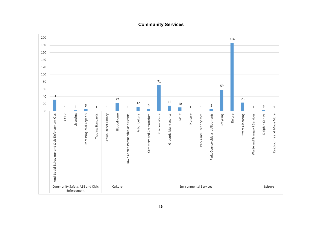

#### **Community Services**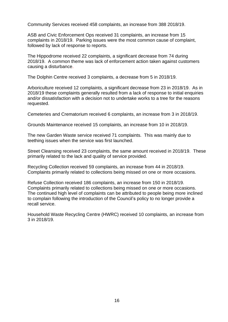Community Services received 458 complaints, an increase from 388 2018/19.

 complaints in 2018/19. Parking issues were the most common cause of complaint, ASB and Civic Enforcement Ops received 31 complaints, an increase from 15 followed by lack of response to reports.

The Hippodrome received 22 complaints, a significant decrease from 74 during 2018/19. A common theme was lack of enforcement action taken against customers causing a disturbance.

The Dolphin Centre received 3 complaints, a decrease from 5 in 2018/19.

 and/or dissatisfaction with a decision not to undertake works to a tree for the reasons Arboriculture received 12 complaints, a significant decrease from 23 in 2018/19. As in 2018/19 these complaints generally resulted from a lack of response to initial enquiries requested.

Cemeteries and Crematorium received 6 complaints, an increase from 3 in 2018/19.

Grounds Maintenance received 15 complaints, an increase from 10 in 2018/19.

 The new Garden Waste service received 71 complaints. This was mainly due to teething issues when the service was first launched.

 Street Cleansing received 23 complaints, the same amount received in 2018/19. These primarily related to the lack and quality of service provided.

 Complaints primarily related to collections being missed on one or more occasions. Recycling Collection received 59 complaints, an increase from 44 in 2018/19.

 Complaints primarily related to collections being missed on one or more occasions. The continued high level of complaints can be attributed to people being more inclined Refuse Collection received 186 complaints, an increase from 150 in 2018/19. to complain following the introduction of the Council's policy to no longer provide a recall service.

Household Waste Recycling Centre (HWRC) received 10 complaints, an increase from 3 in 2018/19.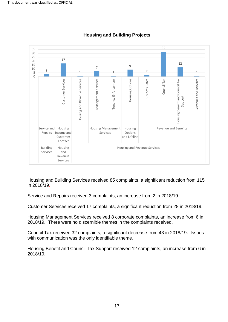

#### **Housing and Building Projects**

Housing and Building Services received 85 complaints, a significant reduction from 115 in 2018/19.

Service and Repairs received 3 complaints, an increase from 2 in 2018/19.

Customer Services received 17 complaints, a significant reduction from 28 in 2018/19.

Housing Management Services received 8 corporate complaints, an increase from 6 in 2018/19. There were no discernible themes in the complaints received.

Council Tax received 32 complaints, a significant decrease from 43 in 2018/19. Issues with communication was the only identifiable theme.

Housing Benefit and Council Tax Support received 12 complaints, an increase from 6 in 2018/19.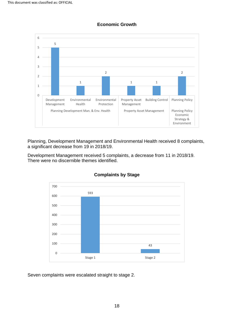

**Economic Growth** 

Planning, Development Management and Environmental Health received 8 complaints, a significant decrease from 19 in 2018/19.

 There were no discernible themes identified. Development Management received 5 complaints, a decrease from 11 in 2018/19.



#### **Complaints by Stage**

Seven complaints were escalated straight to stage 2.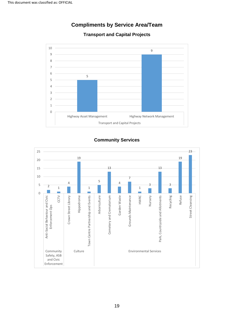

# **Compliments by Service Area/Team**

#### **Transport and Capital Projects**

#### **Community Services**

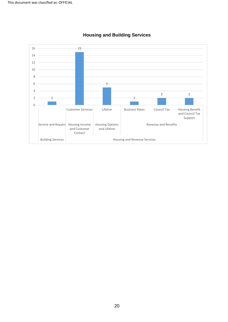

#### **Housing and Building Services**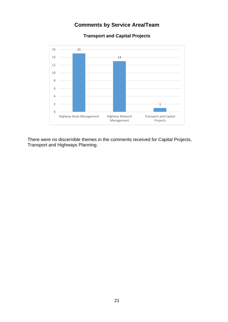# **Comments by Service Area/Team**



**Transport and Capital Projects** 

 There were no discernible themes in the comments received for Capital Projects, Transport and Highways Planning.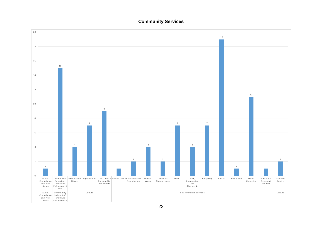#### **Community Services**



22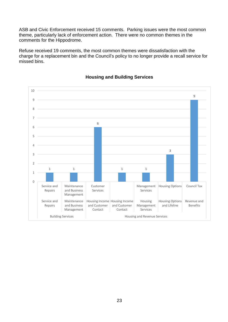ASB and Civic Enforcement received 15 comments. Parking issues were the most common theme, particularly lack of enforcement action. There were no common themes in the comments for the Hippodrome.

comments for the Hippodrome.<br>Refuse received 19 comments, the most common themes were dissatisfaction with the missed bins. charge for a replacement bin and the Council's policy to no longer provide a recall service for



#### **Housing and Building Services**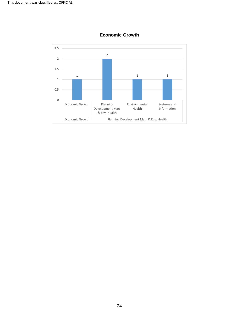

#### **Economic Growth**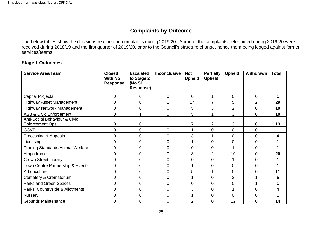#### **Complaints by Outcome**

 services/teams. The below tables show the decisions reached on complaints during 2019/20. Some of the complaints determined during 2019/20 were received during 2018/19 and the first quarter of 2019/20, prior to the Council's structure change, hence them being logged against former

#### **Stage 1 Outcomes**

| <b>Service Area/Team</b>                                | <b>Closed</b><br><b>With No</b><br><b>Response</b> | <b>Escalated</b><br>to Stage 2<br>(No S1<br><b>Response)</b> | <b>Inconclusive</b> | <b>Not</b><br><b>Upheld</b> | <b>Partially</b><br><b>Upheld</b> | <b>Upheld</b>  | Withdrawn      | <b>Total</b> |
|---------------------------------------------------------|----------------------------------------------------|--------------------------------------------------------------|---------------------|-----------------------------|-----------------------------------|----------------|----------------|--------------|
| <b>Capital Projects</b>                                 | 0                                                  | 0                                                            | $\Omega$            | 0                           | 1                                 | 0              | 0              | 1            |
| <b>Highway Asset Management</b>                         | 0                                                  | $\mathbf 0$                                                  |                     | 14                          | $\overline{7}$                    | 5              | $\overline{2}$ | 29           |
| <b>Highway Network Management</b>                       | 0                                                  | 0                                                            | $\mathbf 0$         | 5                           | 3                                 | $\overline{2}$ | 0              | 10           |
| <b>ASB &amp; Civic Enforcement</b>                      | $\mathbf 0$                                        |                                                              | $\Omega$            | 5                           | 1                                 | 3              | 0              | 10           |
| Anti-Social Behaviour & Civic<br><b>Enforcement Ops</b> | 0                                                  | $\mathbf 0$                                                  |                     | $\overline{7}$              | $\overline{2}$                    | 3              | 0              | 13           |
| <b>CCVT</b>                                             | 0                                                  | $\overline{0}$                                               | $\Omega$            | 1                           | $\mathbf 0$                       | $\overline{0}$ | 0              | 1            |
| Processing & Appeals                                    | $\mathbf 0$                                        | $\overline{0}$                                               | 0                   | 3                           | 1                                 | $\overline{0}$ | 0              | 4            |
| Licensing                                               | $\mathbf 0$                                        | 0                                                            | 0                   | 1                           | $\overline{0}$                    | 0              | 0              |              |
| <b>Trading Standards/Animal Welfare</b>                 | 0                                                  | $\mathbf 0$                                                  | $\mathbf 0$         | 0                           | $\overline{0}$                    | 1              | 0              |              |
| Hippodrome                                              | $\mathbf 0$                                        | $\mathbf 0$                                                  | 0                   | 8                           | $\overline{2}$                    | 10             | 0              | 20           |
| <b>Crown Street Library</b>                             | $\mathbf 0$                                        | $\mathbf 0$                                                  | $\mathbf 0$         | 0                           | $\overline{0}$                    | 1              | 0              | 1            |
| Town Centre Partnership & Events                        | 0                                                  | $\mathbf 0$                                                  | $\mathbf 0$         | 1                           | $\mathbf 0$                       | $\overline{0}$ | 0              | 1            |
| Arboriculture                                           | 0                                                  | $\mathbf 0$                                                  | $\mathbf 0$         | 5                           | 1                                 | 5              | 0              | 11           |
| Cemetery & Crematorium                                  | $\mathbf 0$                                        | $\overline{0}$                                               | $\mathbf 0$         | 1                           | $\mathbf 0$                       | 3              | 1              | 5            |
| Parks and Green Spaces                                  | 0                                                  | $\mathbf 0$                                                  | $\mathbf 0$         | 0                           | $\overline{0}$                    | 0              | 4              | 4            |
| Parks, Countryside & Allotments                         | 0                                                  | $\mathbf 0$                                                  | $\mathbf 0$         | 3                           | $\overline{0}$                    | 1              | 0              | 4            |
| Nursery                                                 | $\mathbf 0$                                        | $\overline{0}$                                               | $\mathbf 0$         | 1                           | $\mathbf 0$                       | 0              | 0              | 1            |
| <b>Grounds Maintenance</b>                              | $\mathbf 0$                                        | $\mathbf 0$                                                  | $\mathbf 0$         | $\overline{2}$              | $\mathbf 0$                       | 12             | 0              | 14           |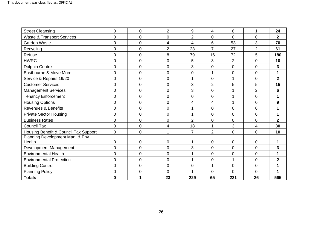| <b>Street Cleansing</b>                    | $\pmb{0}$      | $\mathbf 0$    | $\overline{2}$          | 9                        | 4              | 8              | 1              | 24                      |
|--------------------------------------------|----------------|----------------|-------------------------|--------------------------|----------------|----------------|----------------|-------------------------|
| <b>Waste &amp; Transport Services</b>      | 0              | $\overline{0}$ | $\mathbf 0$             | $\overline{2}$           | $\overline{0}$ | 0              | 0              | $\overline{2}$          |
| Garden Waste                               | 0              | $\overline{0}$ | 4                       | $\overline{\mathcal{A}}$ | 6              | 53             | 3              | 70                      |
| Recycling                                  | $\overline{0}$ | $\overline{0}$ | $\overline{2}$          | 23                       | $\overline{7}$ | 27             | $\overline{2}$ | 61                      |
| Refuse                                     | 0              | $\overline{0}$ | 8                       | 79                       | 16             | 72             | 5              | 180                     |
| <b>HWRC</b>                                | 0              | $\overline{0}$ | $\mathbf 0$             | 5                        | 3              | $\overline{2}$ | 0              | 10                      |
| <b>Dolphin Centre</b>                      | 0              | $\overline{0}$ | $\mathbf 0$             | 3                        | $\mathbf 0$    | $\mathbf 0$    | 0              | 3                       |
| Eastbourne & Move More                     | 0              | $\overline{0}$ | $\mathbf 0$             | 0                        | 1              | $\overline{0}$ | 0              | 1                       |
| Service & Repairs 19/20                    | 0              | $\overline{0}$ | $\overline{0}$          | 1                        | $\overline{0}$ | 1              | 0              | $\overline{2}$          |
| <b>Customer Services</b>                   | $\overline{0}$ | $\mathbf 0$    | $\mathbf 0$             | 3                        | $\overline{2}$ | 5              | 5              | 15                      |
| <b>Management Services</b>                 | 0              | $\mathbf 0$    | $\mathbf 0$             | 3                        | $\overline{0}$ | 1              | $\overline{2}$ | 6                       |
| <b>Tenancy Enforcement</b>                 | 0              | $\mathbf 0$    | $\mathbf 0$             | 0                        | $\overline{0}$ | 1              | 0              | 1                       |
| <b>Housing Options</b>                     | 0              | $\overline{0}$ | $\overline{0}$          | 4                        | $\overline{4}$ | 1              | 0              | 9                       |
| <b>Revenues &amp; Benefits</b>             | 0              | $\overline{0}$ | $\mathbf 0$             | 1                        | $\mathbf 0$    | $\overline{0}$ | 0              | 1                       |
| <b>Private Sector Housing</b>              | $\overline{0}$ | $\overline{0}$ | $\overline{0}$          | 1                        | $\mathbf 0$    | $\overline{0}$ | 0              | 1                       |
| <b>Business Rates</b>                      | 0              | $\overline{0}$ | $\mathbf 0$             | $\overline{2}$           | $\mathbf 0$    | $\overline{0}$ | 0              | $\overline{2}$          |
| <b>Council Tax</b>                         | 0              | $\mathbf 0$    | $\overline{\mathbf{4}}$ | 18                       | 1              | 3              | 4              | 30                      |
| Housing Benefit & Council Tax Support      | $\mathbf 0$    | $\overline{0}$ | 1                       | $\overline{7}$           | 2              | $\overline{0}$ | 0              | 10                      |
| Planning Development Man. & Env.<br>Health | 0              | $\mathbf 0$    | 0                       | 1                        | $\mathbf 0$    | $\mathbf 0$    | 0              | 1                       |
| Development Management                     | 0              | $\overline{0}$ | $\mathbf 0$             | 3                        | $\mathbf 0$    | $\overline{0}$ | 0              | 3                       |
| <b>Environmental Health</b>                | 0              | $\overline{0}$ | $\overline{0}$          | 1                        | $\overline{0}$ | $\overline{0}$ | 0              | 1                       |
| <b>Environmental Protection</b>            | 0              | $\overline{0}$ | $\overline{0}$          | 1                        | $\overline{0}$ | 1              | 0              | $\overline{\mathbf{2}}$ |
| <b>Building Control</b>                    | 0              | $\overline{0}$ | $\overline{0}$          | 0                        | 1              | $\overline{0}$ | 0              | 1                       |
| <b>Planning Policy</b>                     | 0              | $\mathbf 0$    | $\mathbf 0$             | 1                        | $\overline{0}$ | 0              | 0              | 1                       |
| <b>Totals</b>                              | 0              | 1              | 23                      | 229                      | 65             | 221            | 26             | 565                     |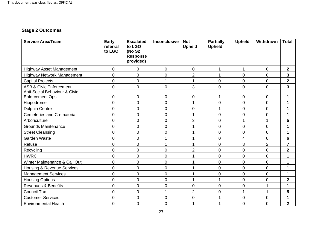# **Stage 2 Outcomes**

| <b>Service Area/Team</b>                                           | Early<br>referral<br>to LGO | <b>Escalated</b><br>to LGO<br>(No S2<br><b>Response</b><br>provided) | Inconclusive   | <b>Not</b><br><b>Upheld</b> | <b>Partially</b><br><b>Upheld</b> | <b>Upheld</b>  | Withdrawn      | <b>Total</b>            |
|--------------------------------------------------------------------|-----------------------------|----------------------------------------------------------------------|----------------|-----------------------------|-----------------------------------|----------------|----------------|-------------------------|
| <b>Highway Asset Management</b>                                    | 0                           | $\mathbf 0$                                                          | 0              | $\mathbf 0$                 |                                   | 1              | $\mathbf 0$    | $\mathbf 2$             |
| Highway Network Management                                         | 0                           | $\overline{0}$                                                       | $\overline{0}$ | $\overline{2}$              | 1                                 | $\overline{0}$ | $\overline{0}$ | 3                       |
| <b>Capital Projects</b>                                            | 0                           | $\mathbf 0$                                                          | 1              | 1                           | $\mathbf 0$                       | $\overline{0}$ | $\overline{0}$ | $\overline{\mathbf{2}}$ |
| <b>ASB &amp; Civic Enforcement</b>                                 | 0                           | $\overline{0}$                                                       | 0              | 3                           | 0                                 | $\overline{0}$ | $\overline{0}$ | 3                       |
| <b>Anti-Social Behaviour &amp; Civic</b><br><b>Enforcement Ops</b> | 0                           | $\mathbf 0$                                                          | 0              | 0                           |                                   | $\mathbf 0$    | 0              | 1                       |
| Hippodrome                                                         | 0                           | $\overline{0}$                                                       | 0              | 1                           | 0                                 | $\overline{0}$ | $\Omega$       | 1                       |
| <b>Dolphin Centre</b>                                              | 0                           | $\overline{0}$                                                       | 0              | 0                           |                                   | $\overline{0}$ | $\overline{0}$ | 1                       |
| <b>Cemeteries and Crematoria</b>                                   | 0                           | $\mathbf 0$                                                          | 0              |                             | 0                                 | $\overline{0}$ | $\mathbf 0$    | 1                       |
| Arboriculture                                                      | 0                           | $\overline{0}$                                                       | 0              | 3                           | 0                                 | 1              |                | 5                       |
| <b>Grounds Maintenance</b>                                         | 0                           | $\mathbf 0$                                                          | 0              |                             | 0                                 | $\overline{0}$ | $\overline{0}$ | 1                       |
| <b>Street Cleansing</b>                                            | 0                           | $\mathbf 0$                                                          | 0              |                             | 0                                 | $\overline{0}$ | $\mathbf 0$    | 1                       |
| Garden Waste                                                       | 0                           | $\mathbf 0$                                                          |                |                             | $\mathbf 0$                       | 4              | $\mathbf 0$    | $6\phantom{1}6$         |
| Refuse                                                             | 0                           | $\mathbf 0$                                                          | 1              |                             | 0                                 | 3              | $\overline{2}$ | $\overline{7}$          |
| Recycling                                                          | $\overline{0}$              | $\mathbf 0$                                                          | 0              | $\overline{2}$              | $\boldsymbol{0}$                  | $\mathbf 0$    | $\overline{0}$ | $\overline{\mathbf{2}}$ |
| <b>HWRC</b>                                                        | 0                           | $\overline{0}$                                                       | 0              |                             | $\mathbf 0$                       | $\overline{0}$ | $\overline{0}$ | 1                       |
| Winter Maintenance & Call Out                                      | 0                           | $\overline{0}$                                                       | 0              | 1                           | 0                                 | $\overline{0}$ | $\overline{0}$ | 1                       |
| <b>Housing &amp; Revenue Services</b>                              | 0                           | $\overline{0}$                                                       | 0              |                             | $\mathbf 0$                       | $\overline{0}$ | $\Omega$       | 1                       |
| <b>Management Services</b>                                         | 0                           | $\overline{0}$                                                       | 0              |                             | $\mathbf 0$                       | $\overline{0}$ | $\overline{0}$ | 1                       |
| <b>Housing Options</b>                                             | 0                           | $\overline{0}$                                                       | 0              |                             |                                   | $\overline{0}$ | $\overline{0}$ | $\mathbf 2$             |
| <b>Revenues &amp; Benefits</b>                                     | 0                           | $\mathbf 0$                                                          | 0              | 0                           | 0                                 | $\overline{0}$ |                | 1                       |
| <b>Council Tax</b>                                                 | 0                           | $\mathbf 0$                                                          |                | $\overline{2}$              | 0                                 | 1              |                | 5                       |
| <b>Customer Services</b>                                           | 0                           | $\mathbf 0$                                                          | 0              | 0                           |                                   | $\mathbf 0$    | $\mathbf 0$    | 1                       |
| <b>Environmental Health</b>                                        | 0                           | $\mathbf 0$                                                          | $\overline{0}$ | 1                           | 1                                 | $\overline{0}$ | $\overline{0}$ | $\overline{2}$          |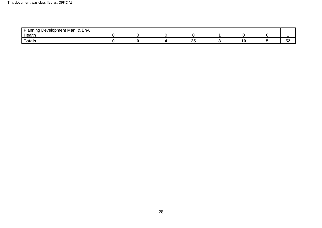| $\Omega$ $\Gamma$ .<br>Planning<br>Development Man.<br>Env.<br>$\alpha$ |  |     |  |             |
|-------------------------------------------------------------------------|--|-----|--|-------------|
| Health                                                                  |  |     |  |             |
| <b>Totals</b>                                                           |  | OF. |  | - 1<br>- 75 |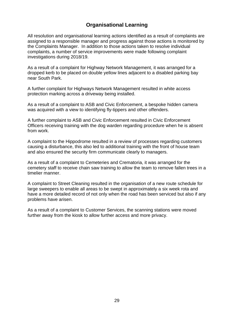# **Organisational Learning**

 investigations during 2018/19. All resolution and organisational learning actions identified as a result of complaints are assigned to a responsible manager and progress against those actions is monitored by the Complaints Manager. In addition to those actions taken to resolve individual complaints, a number of service improvements were made following complaint

 dropped kerb to be placed on double yellow lines adjacent to a disabled parking bay As a result of a complaint for Highway Network Management, it was arranged for a near South Park.

A further complaint for Highways Network Management resulted in white access protection marking across a driveway being installed.

 As a result of a complaint to ASB and Civic Enforcement, a bespoke hidden camera was acquired with a view to identifying fly-tippers and other offenders.

A further complaint to ASB and Civic Enforcement resulted in Civic Enforcement Officers receiving training with the dog warden regarding procedure when he is absent from work.

 A complaint to the Hippodrome resulted in a review of processes regarding customers causing a disturbance, this also led to additional training with the front of house team and also ensured the security firm communicate clearly to managers.

As a result of a complaint to Cemeteries and Crematoria, it was arranged for the cemetery staff to receive chain saw training to allow the team to remove fallen trees in a timelier manner.

 have a more detailed record of not only when the road has been serviced but also if any A complaint to Street Cleaning resulted in the organisation of a new route schedule for large sweepers to enable all areas to be swept in approximately a six week rota and problems have arisen.

As a result of a complaint to Customer Services, the scanning stations were moved further away from the kiosk to allow further access and more privacy.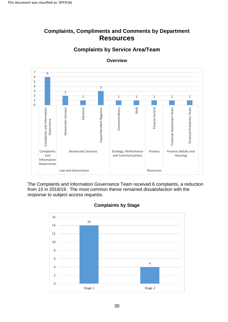# **Complaints, Compliments and Comments by Department Resources**



**Overview** 

**Complaints by Service Area/Team** 

The Complaints and Information Governance Team received 6 complaints, a reduction from 10 in 2018/19. The most common theme remained dissatisfaction with the response to subject access requests.



#### **Complaints by Stage**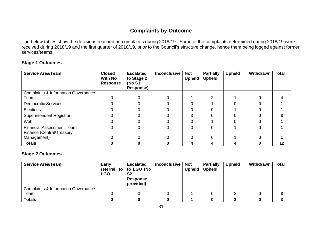## **Complaints by Outcome**

 services/teams. The below tables show the decisions reached on complaints during 2018/19. Some of the complaints determined during 2018/19 were received during 2018/19 and the first quarter of 2018/19, prior to the Council's structure change, hence them being logged against former

#### **Stage 1 Outcomes**

| <b>Service Area/Team</b>                       | <b>Closed</b><br><b>With No</b><br><b>Response</b> | <b>Escalated</b><br>to Stage 2<br>(No S1<br>Response) | <b>Inconclusive</b> | <b>Not</b><br><b>Upheld</b> | <b>Partially</b><br><b>Upheld</b> | <b>Upheld</b> | Withdrawn | <b>Total</b> |
|------------------------------------------------|----------------------------------------------------|-------------------------------------------------------|---------------------|-----------------------------|-----------------------------------|---------------|-----------|--------------|
| <b>Complaints &amp; Information Governance</b> |                                                    |                                                       |                     |                             |                                   |               |           |              |
| Team                                           | 0                                                  | 0                                                     | $\Omega$            |                             | 2                                 |               | O         |              |
| <b>Democratic Services</b>                     |                                                    | 0                                                     |                     |                             |                                   |               | 0         |              |
| <b>Elections</b>                               |                                                    |                                                       |                     |                             |                                   |               |           |              |
| Superintendent Registrar                       |                                                    | 0                                                     | 0                   | 3                           |                                   |               | 0         |              |
| Web                                            |                                                    | 0                                                     |                     |                             |                                   |               | 0         |              |
| <b>Financial Assessment Team</b>               |                                                    | 0                                                     | 0                   | 0                           | 0                                 |               | 0         |              |
| Finance (Central/Treasury                      |                                                    |                                                       |                     |                             |                                   |               |           |              |
| Management)                                    |                                                    | 0                                                     | $\Omega$            | 0                           | 0                                 |               | 0         |              |
| <b>Totals</b>                                  |                                                    | 0                                                     | 0                   |                             |                                   | 4             | 0         | 12           |

#### **Stage 2 Outcomes**

| <b>Service Area/Team</b>                       | <b>Early</b><br>referral to<br><b>LGO</b> | <b>Escalated</b><br>to LGO (No<br>S <sub>2</sub><br>Response<br>provided) | <b>Inconclusive</b> | <b>Not</b><br><b>Upheld</b> | <b>Partially</b><br><b>Upheld</b> | <b>Upheld</b> | Withdrawn | <b>Total</b> |
|------------------------------------------------|-------------------------------------------|---------------------------------------------------------------------------|---------------------|-----------------------------|-----------------------------------|---------------|-----------|--------------|
| <b>Complaints &amp; Information Governance</b> |                                           |                                                                           |                     |                             |                                   |               |           |              |
| Team                                           |                                           |                                                                           |                     |                             |                                   |               |           |              |
| <b>Totals</b>                                  |                                           |                                                                           |                     |                             |                                   |               |           |              |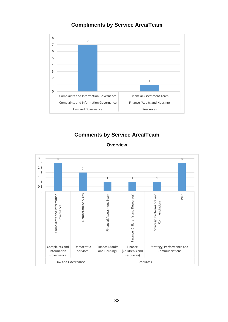#### **Compliments by Service Area/Team**



# **Comments by Service Area/Team**

#### **Overview**

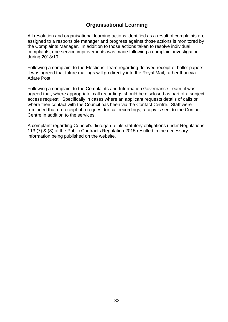# **Organisational Learning**

All resolution and organisational learning actions identified as a result of complaints are assigned to a responsible manager and progress against those actions is monitored by the Complaints Manager. In addition to those actions taken to resolve individual complaints, one service improvements was made following a complaint investigation during 2018/19.

Following a complaint to the Elections Team regarding delayed receipt of ballot papers, it was agreed that future mailings will go directly into the Royal Mail, rather than via Adare Post.

Following a complaint to the Complaints and Information Governance Team, it was agreed that, where appropriate, call recordings should be disclosed as part of a subject access request. Specifically in cases where an applicant requests details of calls or where their contact with the Council has been via the Contact Centre. Staff were reminded that on receipt of a request for call recordings, a copy is sent to the Contact Centre in addition to the services.

 information being published on the website. A complaint regarding Council's disregard of its statutory obligations under Regulations 113 (7) & (8) of the Public Contracts Regulation 2015 resulted in the necessary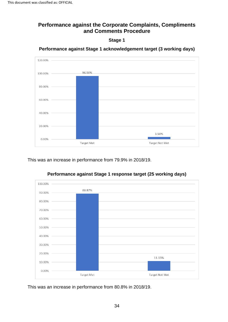# <span id="page-33-1"></span><span id="page-33-0"></span>**Performance against the Corporate Complaints, Compliments and Comments Procedure**

**Stage 1** 



**Performance against Stage 1 acknowledgement target (3 working days)** 

This was an increase in performance from 79.9% in 2018/19.



**Performance against Stage 1 response target (25 working days)** 

This was an increase in performance from 80.8% in 2018/19.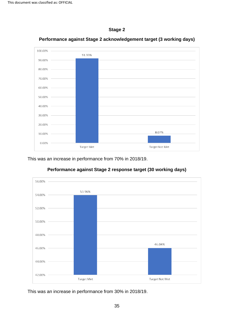



**Performance against Stage 2 acknowledgement target (3 working days)** 

This was an increase in performance from 70% in 2018/19.



#### **Performance against Stage 2 response target (30 working days)**

This was an increase in performance from 30% in 2018/19.